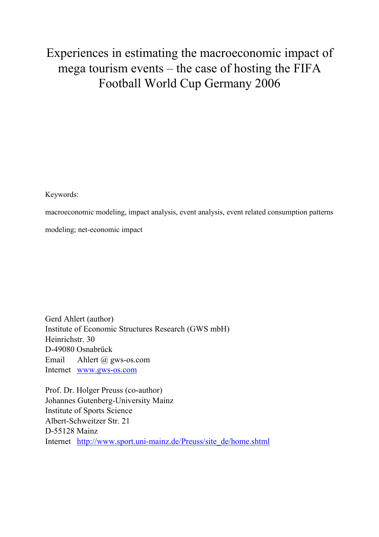# Experiences in estimating the macroeconomic impact of mega tourism events – the case of hosting the FIFA Football World Cup Germany 2006

Keywords:

macroeconomic modeling, impact analysis, event analysis, event related consumption patterns

modeling; net-economic impact

Gerd Ahlert (author) Institute of Economic Structures Research (GWS mbH) Heinrichstr. 30 D-49080 Osnabrück Email Ahlert @ gws-os.com Internet www.gws-os.com

Prof. Dr. Holger Preuss (co-author) Johannes Gutenberg-University Mainz Institute of Sports Science Albert-Schweitzer Str. 21 D-55128 Mainz Internet http://www.sport.uni-mainz.de/Preuss/site\_de/home.shtml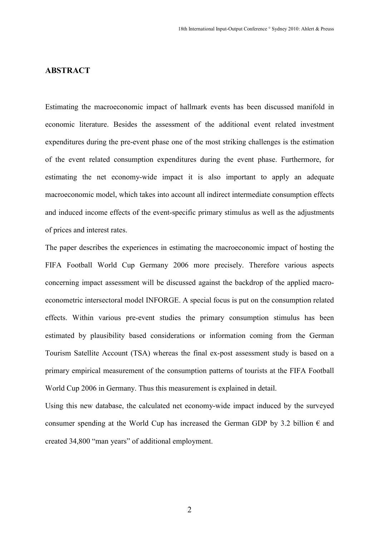# **ABSTRACT**

Estimating the macroeconomic impact of hallmark events has been discussed manifold in economic literature. Besides the assessment of the additional event related investment expenditures during the pre-event phase one of the most striking challenges is the estimation of the event related consumption expenditures during the event phase. Furthermore, for estimating the net economy-wide impact it is also important to apply an adequate macroeconomic model, which takes into account all indirect intermediate consumption effects and induced income effects of the event-specific primary stimulus as well as the adjustments of prices and interest rates.

The paper describes the experiences in estimating the macroeconomic impact of hosting the FIFA Football World Cup Germany 2006 more precisely. Therefore various aspects concerning impact assessment will be discussed against the backdrop of the applied macroeconometric intersectoral model INFORGE. A special focus is put on the consumption related effects. Within various pre-event studies the primary consumption stimulus has been estimated by plausibility based considerations or information coming from the German Tourism Satellite Account (TSA) whereas the final ex-post assessment study is based on a primary empirical measurement of the consumption patterns of tourists at the FIFA Football World Cup 2006 in Germany. Thus this measurement is explained in detail.

Using this new database, the calculated net economy-wide impact induced by the surveyed consumer spending at the World Cup has increased the German GDP by 3.2 billion  $\epsilon$  and created 34,800 "man years" of additional employment.

2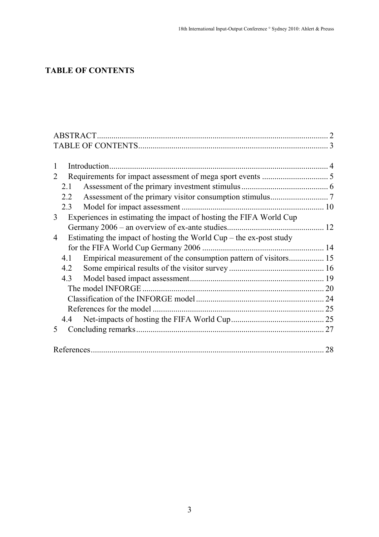# **TABLE OF CONTENTS**

| 1                                                                         |    |
|---------------------------------------------------------------------------|----|
| $\mathcal{D}_{\mathcal{L}}$                                               |    |
| 2.1                                                                       |    |
| 2.2                                                                       |    |
| 2.3                                                                       |    |
| Experiences in estimating the impact of hosting the FIFA World Cup<br>3   |    |
|                                                                           |    |
| Estimating the impact of hosting the World $Cup$ – the ex-post study<br>4 |    |
|                                                                           |    |
| 4.1                                                                       |    |
| 4.2                                                                       |    |
| 4.3                                                                       |    |
|                                                                           |    |
|                                                                           |    |
|                                                                           |    |
| 4.4                                                                       |    |
| 5                                                                         |    |
|                                                                           |    |
|                                                                           | 28 |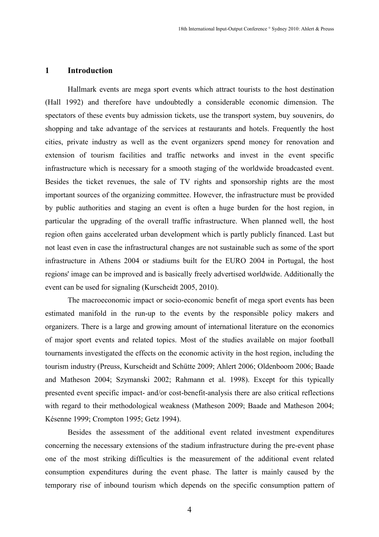#### 1 Introduction

Hallmark events are mega sport events which attract tourists to the host destination (Hall 1992) and therefore have undoubtedly a considerable economic dimension. The spectators of these events buy admission tickets, use the transport system, buy souvenirs, do shopping and take advantage of the services at restaurants and hotels. Frequently the host cities, private industry as well as the event organizers spend money for renovation and extension of tourism facilities and traffic networks and invest in the event specific infrastructure which is necessary for a smooth staging of the worldwide broadcasted event. Besides the ticket revenues, the sale of TV rights and sponsorship rights are the most important sources of the organizing committee. However, the infrastructure must be provided by public authorities and staging an event is often a huge burden for the host region, in particular the upgrading of the overall traffic infrastructure. When planned well, the host region often gains accelerated urban development which is partly publicly financed. Last but not least even in case the infrastructural changes are not sustainable such as some of the sport infrastructure in Athens 2004 or stadiums built for the EURO 2004 in Portugal, the host regions' image can be improved and is basically freely advertised worldwide. Additionally the event can be used for signaling (Kurscheidt 2005, 2010).

The macroeconomic impact or socio-economic benefit of mega sport events has been estimated manifold in the run-up to the events by the responsible policy makers and organizers. There is a large and growing amount of international literature on the economics of major sport events and related topics. Most of the studies available on major football tournaments investigated the effects on the economic activity in the host region, including the tourism industry (Preuss, Kurscheidt and Schütte 2009; Ahlert 2006; Oldenboom 2006; Baade and Matheson 2004; Szymanski 2002; Rahmann et al. 1998). Except for this typically presented event specific impact- and/or cost-benefit-analysis there are also critical reflections with regard to their methodological weakness (Matheson 2009; Baade and Matheson 2004; Késenne 1999; Crompton 1995; Getz 1994).

Besides the assessment of the additional event related investment expenditures concerning the necessary extensions of the stadium infrastructure during the pre-event phase one of the most striking difficulties is the measurement of the additional event related consumption expenditures during the event phase. The latter is mainly caused by the temporary rise of inbound tourism which depends on the specific consumption pattern of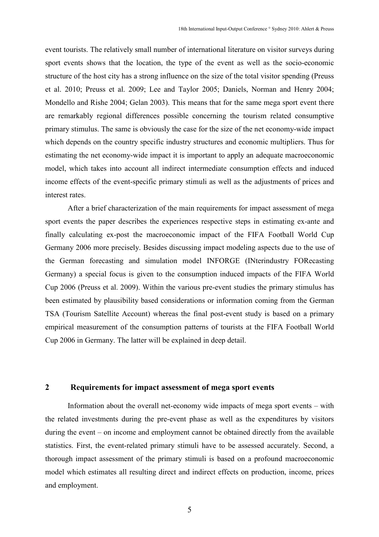event tourists. The relatively small number of international literature on visitor surveys during sport events shows that the location, the type of the event as well as the socio-economic structure of the host city has a strong influence on the size of the total visitor spending (Preuss et al. 2010; Preuss et al. 2009; Lee and Taylor 2005; Daniels, Norman and Henry 2004; Mondello and Rishe 2004; Gelan 2003). This means that for the same mega sport event there are remarkably regional differences possible concerning the tourism related consumptive primary stimulus. The same is obviously the case for the size of the net economy-wide impact which depends on the country specific industry structures and economic multipliers. Thus for estimating the net economy-wide impact it is important to apply an adequate macroeconomic model, which takes into account all indirect intermediate consumption effects and induced income effects of the event-specific primary stimuli as well as the adjustments of prices and interest rates.

After a brief characterization of the main requirements for impact assessment of mega sport events the paper describes the experiences respective steps in estimating ex-ante and finally calculating ex-post the macroeconomic impact of the FIFA Football World Cup Germany 2006 more precisely. Besides discussing impact modeling aspects due to the use of the German forecasting and simulation model INFORGE (INterindustry FORecasting Germany) a special focus is given to the consumption induced impacts of the FIFA World Cup 2006 (Preuss et al. 2009). Within the various pre-event studies the primary stimulus has been estimated by plausibility based considerations or information coming from the German TSA (Tourism Satellite Account) whereas the final post-event study is based on a primary empirical measurement of the consumption patterns of tourists at the FIFA Football World Cup 2006 in Germany. The latter will be explained in deep detail.

# 2 Requirements for impact assessment of mega sport events

Information about the overall net-economy wide impacts of mega sport events – with the related investments during the pre-event phase as well as the expenditures by visitors during the event – on income and employment cannot be obtained directly from the available statistics. First, the event-related primary stimuli have to be assessed accurately. Second, a thorough impact assessment of the primary stimuli is based on a profound macroeconomic model which estimates all resulting direct and indirect effects on production, income, prices and employment.

5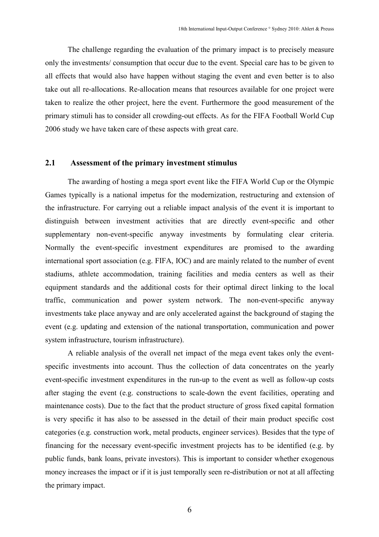The challenge regarding the evaluation of the primary impact is to precisely measure only the investments/ consumption that occur due to the event. Special care has to be given to all effects that would also have happen without staging the event and even better is to also take out all re-allocations. Re-allocation means that resources available for one project were taken to realize the other project, here the event. Furthermore the good measurement of the primary stimuli has to consider all crowding-out effects. As for the FIFA Football World Cup 2006 study we have taken care of these aspects with great care.

#### 2.1 Assessment of the primary investment stimulus

The awarding of hosting a mega sport event like the FIFA World Cup or the Olympic Games typically is a national impetus for the modernization, restructuring and extension of the infrastructure. For carrying out a reliable impact analysis of the event it is important to distinguish between investment activities that are directly event-specific and other supplementary non-event-specific anyway investments by formulating clear criteria. Normally the event-specific investment expenditures are promised to the awarding international sport association (e.g. FIFA, IOC) and are mainly related to the number of event stadiums, athlete accommodation, training facilities and media centers as well as their equipment standards and the additional costs for their optimal direct linking to the local traffic, communication and power system network. The non-event-specific anyway investments take place anyway and are only accelerated against the background of staging the event (e.g. updating and extension of the national transportation, communication and power system infrastructure, tourism infrastructure).

A reliable analysis of the overall net impact of the mega event takes only the eventspecific investments into account. Thus the collection of data concentrates on the yearly event-specific investment expenditures in the run-up to the event as well as follow-up costs after staging the event (e.g. constructions to scale-down the event facilities, operating and maintenance costs). Due to the fact that the product structure of gross fixed capital formation is very specific it has also to be assessed in the detail of their main product specific cost categories (e.g. construction work, metal products, engineer services). Besides that the type of financing for the necessary event-specific investment projects has to be identified (e.g. by public funds, bank loans, private investors). This is important to consider whether exogenous money increases the impact or if it is just temporally seen re-distribution or not at all affecting the primary impact.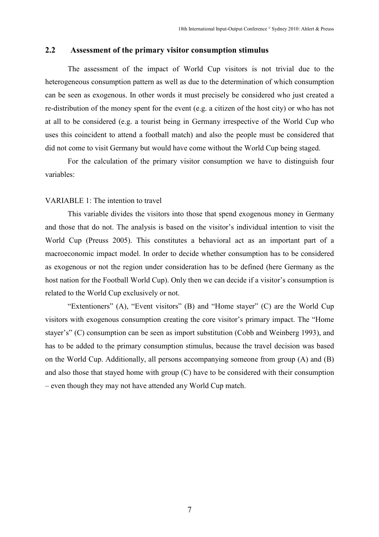# 2.2 Assessment of the primary visitor consumption stimulus

The assessment of the impact of World Cup visitors is not trivial due to the heterogeneous consumption pattern as well as due to the determination of which consumption can be seen as exogenous. In other words it must precisely be considered who just created a re-distribution of the money spent for the event (e.g. a citizen of the host city) or who has not at all to be considered (e.g. a tourist being in Germany irrespective of the World Cup who uses this coincident to attend a football match) and also the people must be considered that did not come to visit Germany but would have come without the World Cup being staged.

For the calculation of the primary visitor consumption we have to distinguish four variables:

#### VARIABLE 1: The intention to travel

This variable divides the visitors into those that spend exogenous money in Germany and those that do not. The analysis is based on the visitor's individual intention to visit the World Cup (Preuss 2005). This constitutes a behavioral act as an important part of a macroeconomic impact model. In order to decide whether consumption has to be considered as exogenous or not the region under consideration has to be defined (here Germany as the host nation for the Football World Cup). Only then we can decide if a visitor's consumption is related to the World Cup exclusively or not.

"Extentioners" (A), "Event visitors" (B) and "Home stayer" (C) are the World Cup visitors with exogenous consumption creating the core visitor's primary impact. The "Home stayer's" (C) consumption can be seen as import substitution (Cobb and Weinberg 1993), and has to be added to the primary consumption stimulus, because the travel decision was based on the World Cup. Additionally, all persons accompanying someone from group (A) and (B) and also those that stayed home with group (C) have to be considered with their consumption – even though they may not have attended any World Cup match.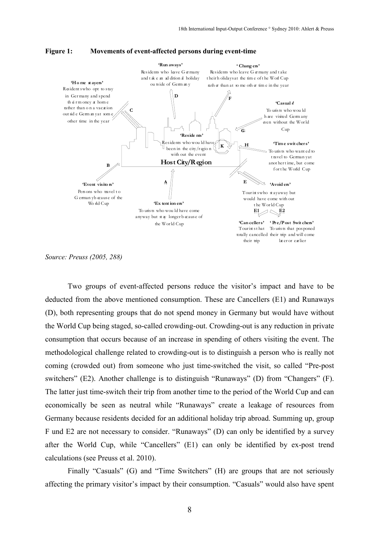



Source: Preuss (2005, 288)

Two groups of event-affected persons reduce the visitor's impact and have to be deducted from the above mentioned consumption. These are Cancellers (E1) and Runaways (D), both representing groups that do not spend money in Germany but would have without the World Cup being staged, so-called crowding-out. Crowding-out is any reduction in private consumption that occurs because of an increase in spending of others visiting the event. The methodological challenge related to crowding-out is to distinguish a person who is really not coming (crowded out) from someone who just time-switched the visit, so called "Pre-post switchers" (E2). Another challenge is to distinguish "Runaways" (D) from "Changers" (F). The latter just time-switch their trip from another time to the period of the World Cup and can economically be seen as neutral while "Runaways" create a leakage of resources from Germany because residents decided for an additional holiday trip abroad. Summing up, group F und E2 are not necessary to consider. "Runaways" (D) can only be identified by a survey after the World Cup, while "Cancellers" (E1) can only be identified by ex-post trend calculations (see Preuss et al. 2010).

Finally "Casuals" (G) and "Time Switchers" (H) are groups that are not seriously affecting the primary visitor's impact by their consumption. "Casuals" would also have spent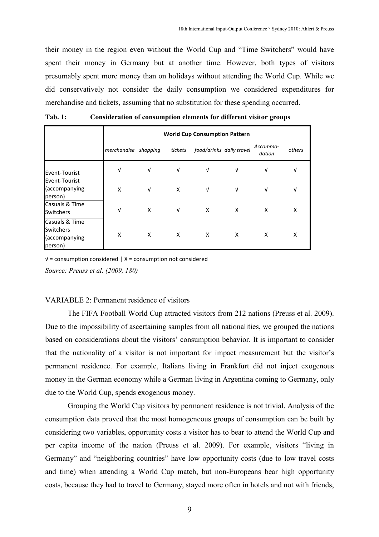their money in the region even without the World Cup and "Time Switchers" would have spent their money in Germany but at another time. However, both types of visitors presumably spent more money than on holidays without attending the World Cup. While we did conservatively not consider the daily consumption we considered expenditures for merchandise and tickets, assuming that no substitution for these spending occurred.

|                                                         |                      | <b>World Cup Consumption Pattern</b> |         |                          |   |                    |        |  |
|---------------------------------------------------------|----------------------|--------------------------------------|---------|--------------------------|---|--------------------|--------|--|
|                                                         | merchandise shopping |                                      | tickets | food/drinks daily travel |   | Accommo-<br>dation | others |  |
| Event-Tourist                                           | $\sqrt{ }$           | $\sqrt{ }$                           | V       | V                        | V | v                  | V      |  |
| Event-Tourist<br>(accompanying<br>person)               | X                    | $\sqrt{ }$                           | X       | $\sqrt{ }$               | V | v                  | V      |  |
| Casuals & Time<br>Switchers                             | $\sqrt{ }$           | X                                    | V       | X                        | X | X                  | X      |  |
| Casuals & Time<br>Switchers<br>(accompanying<br>person) | X                    | X                                    | X       | X                        | X | X                  | X      |  |

Tab. 1: Consideration of consumption elements for different visitor groups

√ = consumption considered | X = consumption not considered Source: Preuss et al. (2009, 180)

#### VARIABLE 2: Permanent residence of visitors

The FIFA Football World Cup attracted visitors from 212 nations (Preuss et al. 2009). Due to the impossibility of ascertaining samples from all nationalities, we grouped the nations based on considerations about the visitors' consumption behavior. It is important to consider that the nationality of a visitor is not important for impact measurement but the visitor's permanent residence. For example, Italians living in Frankfurt did not inject exogenous money in the German economy while a German living in Argentina coming to Germany, only due to the World Cup, spends exogenous money.

Grouping the World Cup visitors by permanent residence is not trivial. Analysis of the consumption data proved that the most homogeneous groups of consumption can be built by considering two variables, opportunity costs a visitor has to bear to attend the World Cup and per capita income of the nation (Preuss et al. 2009). For example, visitors "living in Germany" and "neighboring countries" have low opportunity costs (due to low travel costs and time) when attending a World Cup match, but non-Europeans bear high opportunity costs, because they had to travel to Germany, stayed more often in hotels and not with friends,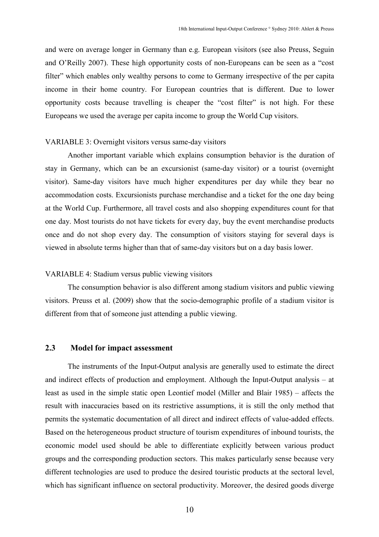and were on average longer in Germany than e.g. European visitors (see also Preuss, Seguin and O'Reilly 2007). These high opportunity costs of non-Europeans can be seen as a "cost filter" which enables only wealthy persons to come to Germany irrespective of the per capita income in their home country. For European countries that is different. Due to lower opportunity costs because travelling is cheaper the "cost filter" is not high. For these Europeans we used the average per capita income to group the World Cup visitors.

#### VARIABLE 3: Overnight visitors versus same-day visitors

Another important variable which explains consumption behavior is the duration of stay in Germany, which can be an excursionist (same-day visitor) or a tourist (overnight visitor). Same-day visitors have much higher expenditures per day while they bear no accommodation costs. Excursionists purchase merchandise and a ticket for the one day being at the World Cup. Furthermore, all travel costs and also shopping expenditures count for that one day. Most tourists do not have tickets for every day, buy the event merchandise products once and do not shop every day. The consumption of visitors staying for several days is viewed in absolute terms higher than that of same-day visitors but on a day basis lower.

#### VARIABLE 4: Stadium versus public viewing visitors

The consumption behavior is also different among stadium visitors and public viewing visitors. Preuss et al. (2009) show that the socio-demographic profile of a stadium visitor is different from that of someone just attending a public viewing.

# 2.3 Model for impact assessment

The instruments of the Input-Output analysis are generally used to estimate the direct and indirect effects of production and employment. Although the Input-Output analysis – at least as used in the simple static open Leontief model (Miller and Blair 1985) – affects the result with inaccuracies based on its restrictive assumptions, it is still the only method that permits the systematic documentation of all direct and indirect effects of value-added effects. Based on the heterogeneous product structure of tourism expenditures of inbound tourists, the economic model used should be able to differentiate explicitly between various product groups and the corresponding production sectors. This makes particularly sense because very different technologies are used to produce the desired touristic products at the sectoral level, which has significant influence on sectoral productivity. Moreover, the desired goods diverge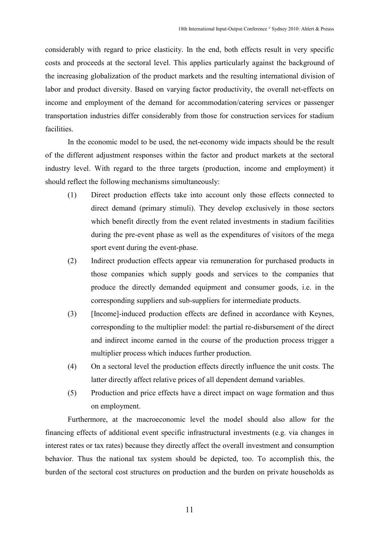considerably with regard to price elasticity. In the end, both effects result in very specific costs and proceeds at the sectoral level. This applies particularly against the background of the increasing globalization of the product markets and the resulting international division of labor and product diversity. Based on varying factor productivity, the overall net-effects on income and employment of the demand for accommodation/catering services or passenger transportation industries differ considerably from those for construction services for stadium facilities.

In the economic model to be used, the net-economy wide impacts should be the result of the different adjustment responses within the factor and product markets at the sectoral industry level. With regard to the three targets (production, income and employment) it should reflect the following mechanisms simultaneously:

- (1) Direct production effects take into account only those effects connected to direct demand (primary stimuli). They develop exclusively in those sectors which benefit directly from the event related investments in stadium facilities during the pre-event phase as well as the expenditures of visitors of the mega sport event during the event-phase.
- (2) Indirect production effects appear via remuneration for purchased products in those companies which supply goods and services to the companies that produce the directly demanded equipment and consumer goods, i.e. in the corresponding suppliers and sub-suppliers for intermediate products.
- (3) [Income]-induced production effects are defined in accordance with Keynes, corresponding to the multiplier model: the partial re-disbursement of the direct and indirect income earned in the course of the production process trigger a multiplier process which induces further production.
- (4) On a sectoral level the production effects directly influence the unit costs. The latter directly affect relative prices of all dependent demand variables.
- (5) Production and price effects have a direct impact on wage formation and thus on employment.

Furthermore, at the macroeconomic level the model should also allow for the financing effects of additional event specific infrastructural investments (e.g. via changes in interest rates or tax rates) because they directly affect the overall investment and consumption behavior. Thus the national tax system should be depicted, too. To accomplish this, the burden of the sectoral cost structures on production and the burden on private households as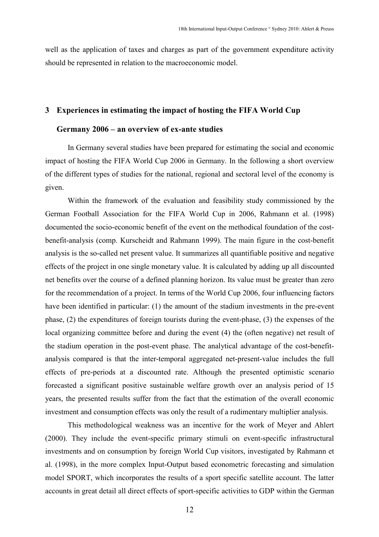well as the application of taxes and charges as part of the government expenditure activity should be represented in relation to the macroeconomic model.

#### 3 Experiences in estimating the impact of hosting the FIFA World Cup

# Germany 2006 – an overview of ex-ante studies

In Germany several studies have been prepared for estimating the social and economic impact of hosting the FIFA World Cup 2006 in Germany. In the following a short overview of the different types of studies for the national, regional and sectoral level of the economy is given.

Within the framework of the evaluation and feasibility study commissioned by the German Football Association for the FIFA World Cup in 2006, Rahmann et al. (1998) documented the socio-economic benefit of the event on the methodical foundation of the costbenefit-analysis (comp. Kurscheidt and Rahmann 1999). The main figure in the cost-benefit analysis is the so-called net present value. It summarizes all quantifiable positive and negative effects of the project in one single monetary value. It is calculated by adding up all discounted net benefits over the course of a defined planning horizon. Its value must be greater than zero for the recommendation of a project. In terms of the World Cup 2006, four influencing factors have been identified in particular: (1) the amount of the stadium investments in the pre-event phase, (2) the expenditures of foreign tourists during the event-phase, (3) the expenses of the local organizing committee before and during the event (4) the (often negative) net result of the stadium operation in the post-event phase. The analytical advantage of the cost-benefitanalysis compared is that the inter-temporal aggregated net-present-value includes the full effects of pre-periods at a discounted rate. Although the presented optimistic scenario forecasted a significant positive sustainable welfare growth over an analysis period of 15 years, the presented results suffer from the fact that the estimation of the overall economic investment and consumption effects was only the result of a rudimentary multiplier analysis.

This methodological weakness was an incentive for the work of Meyer and Ahlert (2000). They include the event-specific primary stimuli on event-specific infrastructural investments and on consumption by foreign World Cup visitors, investigated by Rahmann et al. (1998), in the more complex Input-Output based econometric forecasting and simulation model SPORT, which incorporates the results of a sport specific satellite account. The latter accounts in great detail all direct effects of sport-specific activities to GDP within the German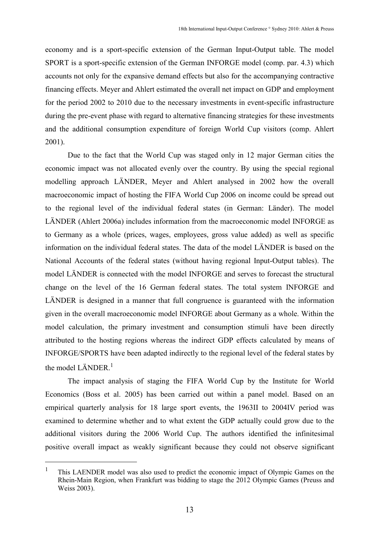economy and is a sport-specific extension of the German Input-Output table. The model SPORT is a sport-specific extension of the German INFORGE model (comp. par. 4.3) which accounts not only for the expansive demand effects but also for the accompanying contractive financing effects. Meyer and Ahlert estimated the overall net impact on GDP and employment for the period 2002 to 2010 due to the necessary investments in event-specific infrastructure during the pre-event phase with regard to alternative financing strategies for these investments and the additional consumption expenditure of foreign World Cup visitors (comp. Ahlert 2001).

Due to the fact that the World Cup was staged only in 12 major German cities the economic impact was not allocated evenly over the country. By using the special regional modelling approach LÄNDER, Meyer and Ahlert analysed in 2002 how the overall macroeconomic impact of hosting the FIFA World Cup 2006 on income could be spread out to the regional level of the individual federal states (in German: Länder). The model LÄNDER (Ahlert 2006a) includes information from the macroeconomic model INFORGE as to Germany as a whole (prices, wages, employees, gross value added) as well as specific information on the individual federal states. The data of the model LÄNDER is based on the National Accounts of the federal states (without having regional Input-Output tables). The model LÄNDER is connected with the model INFORGE and serves to forecast the structural change on the level of the 16 German federal states. The total system INFORGE and LÄNDER is designed in a manner that full congruence is guaranteed with the information given in the overall macroeconomic model INFORGE about Germany as a whole. Within the model calculation, the primary investment and consumption stimuli have been directly attributed to the hosting regions whereas the indirect GDP effects calculated by means of INFORGE/SPORTS have been adapted indirectly to the regional level of the federal states by the model LÄNDER. $^1$ 

The impact analysis of staging the FIFA World Cup by the Institute for World Economics (Boss et al. 2005) has been carried out within a panel model. Based on an empirical quarterly analysis for 18 large sport events, the 1963II to 2004IV period was examined to determine whether and to what extent the GDP actually could grow due to the additional visitors during the 2006 World Cup. The authors identified the infinitesimal positive overall impact as weakly significant because they could not observe significant

 $\overline{a}$ 

<sup>1</sup> This LAENDER model was also used to predict the economic impact of Olympic Games on the Rhein-Main Region, when Frankfurt was bidding to stage the 2012 Olympic Games (Preuss and Weiss 2003).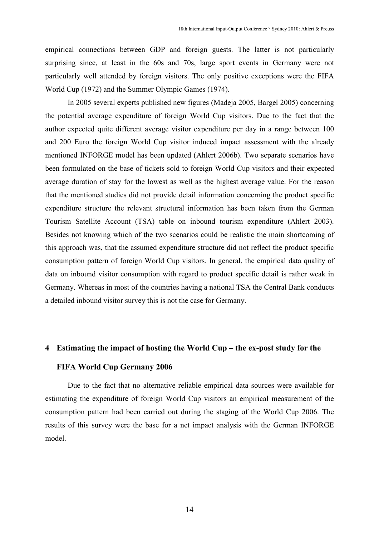empirical connections between GDP and foreign guests. The latter is not particularly surprising since, at least in the 60s and 70s, large sport events in Germany were not particularly well attended by foreign visitors. The only positive exceptions were the FIFA World Cup (1972) and the Summer Olympic Games (1974).

In 2005 several experts published new figures (Madeja 2005, Bargel 2005) concerning the potential average expenditure of foreign World Cup visitors. Due to the fact that the author expected quite different average visitor expenditure per day in a range between 100 and 200 Euro the foreign World Cup visitor induced impact assessment with the already mentioned INFORGE model has been updated (Ahlert 2006b). Two separate scenarios have been formulated on the base of tickets sold to foreign World Cup visitors and their expected average duration of stay for the lowest as well as the highest average value. For the reason that the mentioned studies did not provide detail information concerning the product specific expenditure structure the relevant structural information has been taken from the German Tourism Satellite Account (TSA) table on inbound tourism expenditure (Ahlert 2003). Besides not knowing which of the two scenarios could be realistic the main shortcoming of this approach was, that the assumed expenditure structure did not reflect the product specific consumption pattern of foreign World Cup visitors. In general, the empirical data quality of data on inbound visitor consumption with regard to product specific detail is rather weak in Germany. Whereas in most of the countries having a national TSA the Central Bank conducts a detailed inbound visitor survey this is not the case for Germany.

#### 4 Estimating the impact of hosting the World Cup – the ex-post study for the

### FIFA World Cup Germany 2006

Due to the fact that no alternative reliable empirical data sources were available for estimating the expenditure of foreign World Cup visitors an empirical measurement of the consumption pattern had been carried out during the staging of the World Cup 2006. The results of this survey were the base for a net impact analysis with the German INFORGE model.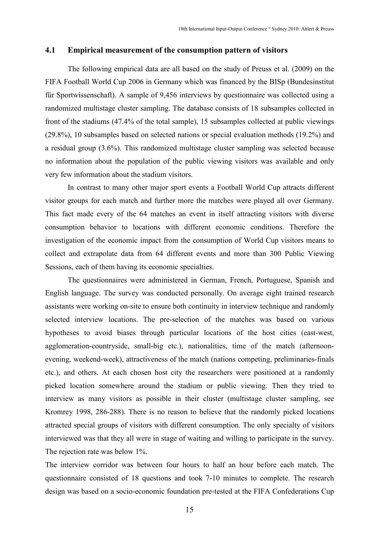#### 4.1 Empirical measurement of the consumption pattern of visitors

The following empirical data are all based on the study of Preuss et al. (2009) on the FIFA Football World Cup 2006 in Germany which was financed by the BISp (Bundesinstitut für Sportwissenschaft). A sample of 9,456 interviews by questionnaire was collected using a randomized multistage cluster sampling. The database consists of 18 subsamples collected in front of the stadiums (47.4% of the total sample), 15 subsamples collected at public viewings (29.8%), 10 subsamples based on selected nations or special evaluation methods (19.2%) and a residual group (3.6%). This randomized multistage cluster sampling was selected because no information about the population of the public viewing visitors was available and only very few information about the stadium visitors.

In contrast to many other major sport events a Football World Cup attracts different visitor groups for each match and further more the matches were played all over Germany. This fact made every of the 64 matches an event in itself attracting visitors with diverse consumption behavior to locations with different economic conditions. Therefore the investigation of the economic impact from the consumption of World Cup visitors means to collect and extrapolate data from 64 different events and more than 300 Public Viewing Sessions, each of them having its economic specialties.

The questionnaires were administered in German, French, Portuguese, Spanish and English language. The survey was conducted personally. On average eight trained research assistants were working on-site to ensure both continuity in interview technique and randomly selected interview locations. The pre-selection of the matches was based on various hypotheses to avoid biases through particular locations of the host cities (east-west, agglomeration-countryside, small-big etc.), nationalities, time of the match (afternoonevening, weekend-week), attractiveness of the match (nations competing, preliminaries-finals etc.), and others. At each chosen host city the researchers were positioned at a randomly picked location somewhere around the stadium or public viewing. Then they tried to interview as many visitors as possible in their cluster (multistage cluster sampling, see Kromrey 1998, 286-288). There is no reason to believe that the randomly picked locations attracted special groups of visitors with different consumption. The only specialty of visitors interviewed was that they all were in stage of waiting and willing to participate in the survey. The rejection rate was below 1%.

The interview corridor was between four hours to half an hour before each match. The questionnaire consisted of 18 questions and took 7-10 minutes to complete. The research design was based on a socio-economic foundation pre-tested at the FIFA Confederations Cup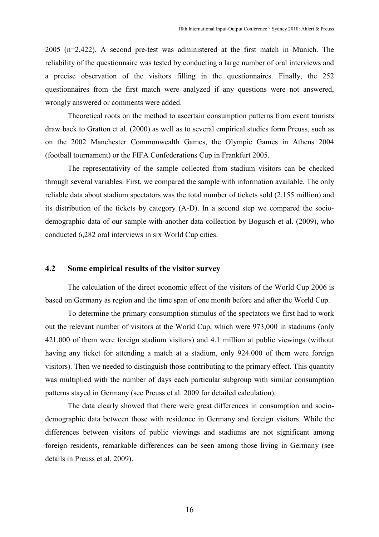2005 (n=2,422). A second pre-test was administered at the first match in Munich. The reliability of the questionnaire was tested by conducting a large number of oral interviews and a precise observation of the visitors filling in the questionnaires. Finally, the 252 questionnaires from the first match were analyzed if any questions were not answered, wrongly answered or comments were added.

Theoretical roots on the method to ascertain consumption patterns from event tourists draw back to Gratton et al. (2000) as well as to several empirical studies form Preuss, such as on the 2002 Manchester Commonwealth Games, the Olympic Games in Athens 2004 (football tournament) or the FIFA Confederations Cup in Frankfurt 2005.

The representativity of the sample collected from stadium visitors can be checked through several variables. First, we compared the sample with information available. The only reliable data about stadium spectators was the total number of tickets sold (2.155 million) and its distribution of the tickets by category (A-D). In a second step we compared the sociodemographic data of our sample with another data collection by Bogusch et al. (2009), who conducted 6,282 oral interviews in six World Cup cities.

# 4.2 Some empirical results of the visitor survey

The calculation of the direct economic effect of the visitors of the World Cup 2006 is based on Germany as region and the time span of one month before and after the World Cup.

To determine the primary consumption stimulus of the spectators we first had to work out the relevant number of visitors at the World Cup, which were 973,000 in stadiums (only 421.000 of them were foreign stadium visitors) and 4.1 million at public viewings (without having any ticket for attending a match at a stadium, only 924.000 of them were foreign visitors). Then we needed to distinguish those contributing to the primary effect. This quantity was multiplied with the number of days each particular subgroup with similar consumption patterns stayed in Germany (see Preuss et al. 2009 for detailed calculation).

The data clearly showed that there were great differences in consumption and sociodemographic data between those with residence in Germany and foreign visitors. While the differences between visitors of public viewings and stadiums are not significant among foreign residents, remarkable differences can be seen among those living in Germany (see details in Preuss et al. 2009).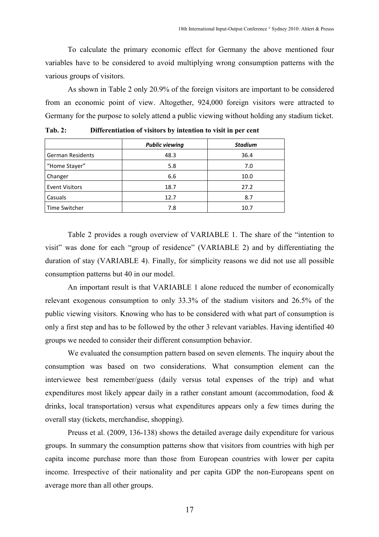To calculate the primary economic effect for Germany the above mentioned four variables have to be considered to avoid multiplying wrong consumption patterns with the various groups of visitors.

As shown in Table 2 only 20.9% of the foreign visitors are important to be considered from an economic point of view. Altogether, 924,000 foreign visitors were attracted to Germany for the purpose to solely attend a public viewing without holding any stadium ticket.

|                         | <b>Public viewing</b> | <b>Stadium</b> |
|-------------------------|-----------------------|----------------|
| <b>German Residents</b> | 48.3                  | 36.4           |
| "Home Stayer"           | 5.8                   | 7.0            |
| Changer                 | 6.6                   | 10.0           |
| <b>Event Visitors</b>   | 18.7                  | 27.2           |
| Casuals                 | 12.7                  | 8.7            |
| Time Switcher           | 7.8                   | 10.7           |

Tab. 2: Differentiation of visitors by intention to visit in per cent

Table 2 provides a rough overview of VARIABLE 1. The share of the "intention to visit" was done for each "group of residence" (VARIABLE 2) and by differentiating the duration of stay (VARIABLE 4). Finally, for simplicity reasons we did not use all possible consumption patterns but 40 in our model.

An important result is that VARIABLE 1 alone reduced the number of economically relevant exogenous consumption to only 33.3% of the stadium visitors and 26.5% of the public viewing visitors. Knowing who has to be considered with what part of consumption is only a first step and has to be followed by the other 3 relevant variables. Having identified 40 groups we needed to consider their different consumption behavior.

We evaluated the consumption pattern based on seven elements. The inquiry about the consumption was based on two considerations. What consumption element can the interviewee best remember/guess (daily versus total expenses of the trip) and what expenditures most likely appear daily in a rather constant amount (accommodation, food & drinks, local transportation) versus what expenditures appears only a few times during the overall stay (tickets, merchandise, shopping).

Preuss et al. (2009, 136-138) shows the detailed average daily expenditure for various groups. In summary the consumption patterns show that visitors from countries with high per capita income purchase more than those from European countries with lower per capita income. Irrespective of their nationality and per capita GDP the non-Europeans spent on average more than all other groups.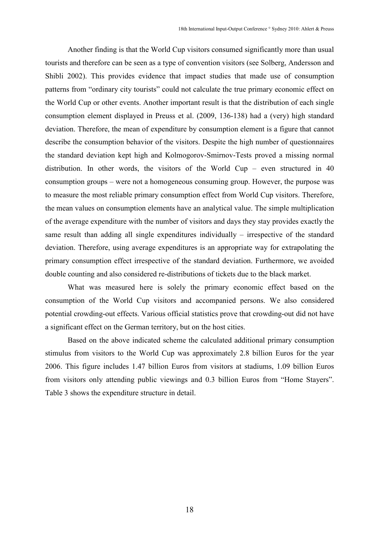Another finding is that the World Cup visitors consumed significantly more than usual tourists and therefore can be seen as a type of convention visitors (see Solberg, Andersson and Shibli 2002). This provides evidence that impact studies that made use of consumption patterns from "ordinary city tourists" could not calculate the true primary economic effect on the World Cup or other events. Another important result is that the distribution of each single consumption element displayed in Preuss et al. (2009, 136-138) had a (very) high standard deviation. Therefore, the mean of expenditure by consumption element is a figure that cannot describe the consumption behavior of the visitors. Despite the high number of questionnaires the standard deviation kept high and Kolmogorov-Smirnov-Tests proved a missing normal distribution. In other words, the visitors of the World Cup – even structured in 40 consumption groups – were not a homogeneous consuming group. However, the purpose was to measure the most reliable primary consumption effect from World Cup visitors. Therefore, the mean values on consumption elements have an analytical value. The simple multiplication of the average expenditure with the number of visitors and days they stay provides exactly the same result than adding all single expenditures individually – irrespective of the standard deviation. Therefore, using average expenditures is an appropriate way for extrapolating the primary consumption effect irrespective of the standard deviation. Furthermore, we avoided double counting and also considered re-distributions of tickets due to the black market.

What was measured here is solely the primary economic effect based on the consumption of the World Cup visitors and accompanied persons. We also considered potential crowding-out effects. Various official statistics prove that crowding-out did not have a significant effect on the German territory, but on the host cities.

Based on the above indicated scheme the calculated additional primary consumption stimulus from visitors to the World Cup was approximately 2.8 billion Euros for the year 2006. This figure includes 1.47 billion Euros from visitors at stadiums, 1.09 billion Euros from visitors only attending public viewings and 0.3 billion Euros from "Home Stayers". Table 3 shows the expenditure structure in detail.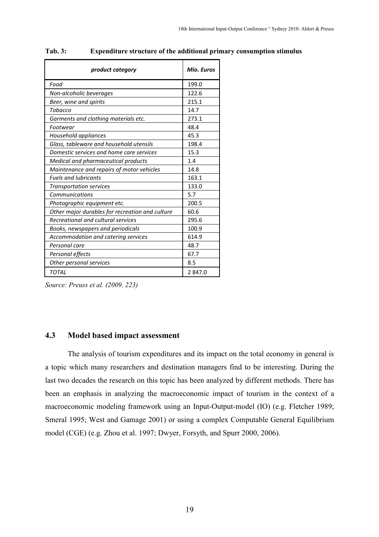| product category                                | Mio. Euros |
|-------------------------------------------------|------------|
| Food                                            | 199.0      |
| Non-alcoholic beverages                         | 122.6      |
| Beer, wine and spirits                          | 215.1      |
| Tobacco                                         | 14.7       |
| Garments and clothing materials etc.            | 273.1      |
| Footwear                                        | 48.4       |
| Household appliances                            | 45.3       |
| Glass, tableware and household utensils         | 198.4      |
| Domestic services and home care services        | 15.3       |
| Medical and pharmaceutical products             | 1.4        |
| Maintenance and repairs of motor vehicles       | 14.8       |
| <b>Fuels and lubricants</b>                     | 163.1      |
| <b>Transportation services</b>                  | 133.0      |
| Communications                                  | 5.7        |
| Photographic equipment etc.                     | 200.5      |
| Other major durables for recreation and culture | 60.6       |
| Recreational and cultural services              | 295.6      |
| Books, newspapers and periodicals               | 100.9      |
| Accommodation and catering services             | 614.9      |
| Personal care                                   | 48.7       |
| Personal effects                                | 67.7       |
| Other personal services                         | 8.5        |
| <b>TOTAL</b>                                    | 2847.0     |

#### Tab. 3: Expenditure structure of the additional primary consumption stimulus

Source: Preuss et al. (2009, 223)

# 4.3 Model based impact assessment

The analysis of tourism expenditures and its impact on the total economy in general is a topic which many researchers and destination managers find to be interesting. During the last two decades the research on this topic has been analyzed by different methods. There has been an emphasis in analyzing the macroeconomic impact of tourism in the context of a macroeconomic modeling framework using an Input-Output-model (IO) (e.g. Fletcher 1989; Smeral 1995; West and Gamage 2001) or using a complex Computable General Equilibrium model (CGE) (e.g. Zhou et al. 1997; Dwyer, Forsyth, and Spurr 2000, 2006).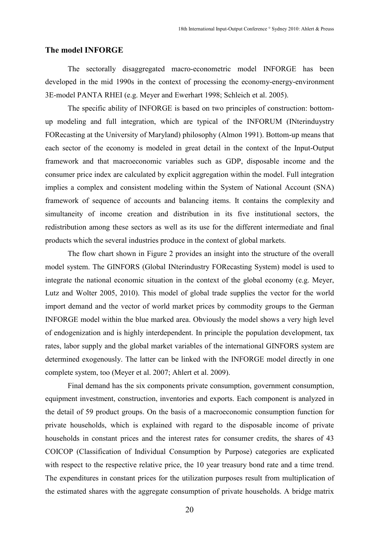#### The model INFORGE

The sectorally disaggregated macro-econometric model INFORGE has been developed in the mid 1990s in the context of processing the economy-energy-environment 3E-model PANTA RHEI (e.g. Meyer and Ewerhart 1998; Schleich et al. 2005).

The specific ability of INFORGE is based on two principles of construction: bottomup modeling and full integration, which are typical of the INFORUM (INterinduystry FORecasting at the University of Maryland) philosophy (Almon 1991). Bottom-up means that each sector of the economy is modeled in great detail in the context of the Input-Output framework and that macroeconomic variables such as GDP, disposable income and the consumer price index are calculated by explicit aggregation within the model. Full integration implies a complex and consistent modeling within the System of National Account (SNA) framework of sequence of accounts and balancing items. It contains the complexity and simultaneity of income creation and distribution in its five institutional sectors, the redistribution among these sectors as well as its use for the different intermediate and final products which the several industries produce in the context of global markets.

The flow chart shown in Figure 2 provides an insight into the structure of the overall model system. The GINFORS (Global INterindustry FORecasting System) model is used to integrate the national economic situation in the context of the global economy (e.g. Meyer, Lutz and Wolter 2005, 2010). This model of global trade supplies the vector for the world import demand and the vector of world market prices by commodity groups to the German INFORGE model within the blue marked area. Obviously the model shows a very high level of endogenization and is highly interdependent. In principle the population development, tax rates, labor supply and the global market variables of the international GINFORS system are determined exogenously. The latter can be linked with the INFORGE model directly in one complete system, too (Meyer et al. 2007; Ahlert et al. 2009).

Final demand has the six components private consumption, government consumption, equipment investment, construction, inventories and exports. Each component is analyzed in the detail of 59 product groups. On the basis of a macroeconomic consumption function for private households, which is explained with regard to the disposable income of private households in constant prices and the interest rates for consumer credits, the shares of 43 COICOP (Classification of Individual Consumption by Purpose) categories are explicated with respect to the respective relative price, the 10 year treasury bond rate and a time trend. The expenditures in constant prices for the utilization purposes result from multiplication of the estimated shares with the aggregate consumption of private households. A bridge matrix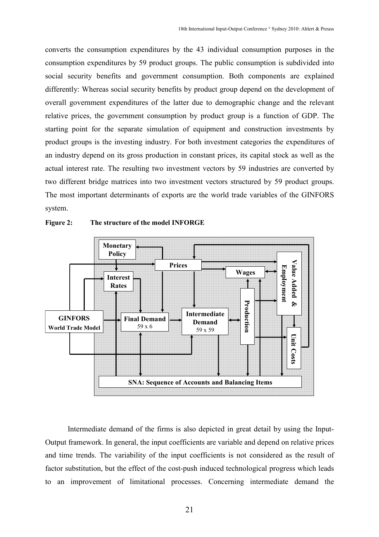converts the consumption expenditures by the 43 individual consumption purposes in the consumption expenditures by 59 product groups. The public consumption is subdivided into social security benefits and government consumption. Both components are explained differently: Whereas social security benefits by product group depend on the development of overall government expenditures of the latter due to demographic change and the relevant relative prices, the government consumption by product group is a function of GDP. The starting point for the separate simulation of equipment and construction investments by product groups is the investing industry. For both investment categories the expenditures of an industry depend on its gross production in constant prices, its capital stock as well as the actual interest rate. The resulting two investment vectors by 59 industries are converted by two different bridge matrices into two investment vectors structured by 59 product groups. The most important determinants of exports are the world trade variables of the GINFORS system.



Figure 2: The structure of the model INFORGE

Intermediate demand of the firms is also depicted in great detail by using the Input-Output framework. In general, the input coefficients are variable and depend on relative prices and time trends. The variability of the input coefficients is not considered as the result of factor substitution, but the effect of the cost-push induced technological progress which leads to an improvement of limitational processes. Concerning intermediate demand the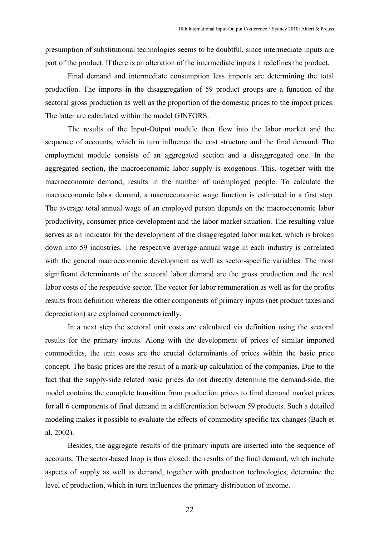presumption of substitutional technologies seems to be doubtful, since intermediate inputs are part of the product. If there is an alteration of the intermediate inputs it redefines the product.

Final demand and intermediate consumption less imports are determining the total production. The imports in the disaggregation of 59 product groups are a function of the sectoral gross production as well as the proportion of the domestic prices to the import prices. The latter are calculated within the model GINFORS.

The results of the Input-Output module then flow into the labor market and the sequence of accounts, which in turn influence the cost structure and the final demand. The employment module consists of an aggregated section and a disaggregated one. In the aggregated section, the macroeconomic labor supply is exogenous. This, together with the macroeconomic demand, results in the number of unemployed people. To calculate the macroeconomic labor demand, a macroeconomic wage function is estimated in a first step. The average total annual wage of an employed person depends on the macroeconomic labor productivity, consumer price development and the labor market situation. The resulting value serves as an indicator for the development of the disaggregated labor market, which is broken down into 59 industries. The respective average annual wage in each industry is correlated with the general macroeconomic development as well as sector-specific variables. The most significant determinants of the sectoral labor demand are the gross production and the real labor costs of the respective sector. The vector for labor remuneration as well as for the profits results from definition whereas the other components of primary inputs (net product taxes and depreciation) are explained econometrically.

In a next step the sectoral unit costs are calculated via definition using the sectoral results for the primary inputs. Along with the development of prices of similar imported commodities, the unit costs are the crucial determinants of prices within the basic price concept. The basic prices are the result of a mark-up calculation of the companies. Due to the fact that the supply-side related basic prices do not directly determine the demand-side, the model contains the complete transition from production prices to final demand market prices for all 6 components of final demand in a differentiation between 59 products. Such a detailed modeling makes it possible to evaluate the effects of commodity specific tax changes (Bach et al. 2002).

Besides, the aggregate results of the primary inputs are inserted into the sequence of accounts. The sector-based loop is thus closed: the results of the final demand, which include aspects of supply as well as demand, together with production technologies, determine the level of production, which in turn influences the primary distribution of income.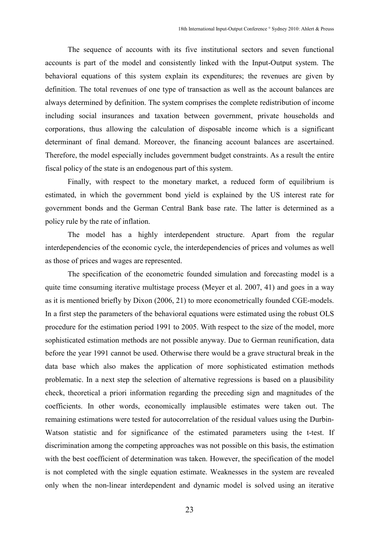The sequence of accounts with its five institutional sectors and seven functional accounts is part of the model and consistently linked with the Input-Output system. The behavioral equations of this system explain its expenditures; the revenues are given by definition. The total revenues of one type of transaction as well as the account balances are always determined by definition. The system comprises the complete redistribution of income including social insurances and taxation between government, private households and corporations, thus allowing the calculation of disposable income which is a significant determinant of final demand. Moreover, the financing account balances are ascertained. Therefore, the model especially includes government budget constraints. As a result the entire fiscal policy of the state is an endogenous part of this system.

Finally, with respect to the monetary market, a reduced form of equilibrium is estimated, in which the government bond yield is explained by the US interest rate for government bonds and the German Central Bank base rate. The latter is determined as a policy rule by the rate of inflation.

The model has a highly interdependent structure. Apart from the regular interdependencies of the economic cycle, the interdependencies of prices and volumes as well as those of prices and wages are represented.

The specification of the econometric founded simulation and forecasting model is a quite time consuming iterative multistage process (Meyer et al. 2007, 41) and goes in a way as it is mentioned briefly by Dixon (2006, 21) to more econometrically founded CGE-models. In a first step the parameters of the behavioral equations were estimated using the robust OLS procedure for the estimation period 1991 to 2005. With respect to the size of the model, more sophisticated estimation methods are not possible anyway. Due to German reunification, data before the year 1991 cannot be used. Otherwise there would be a grave structural break in the data base which also makes the application of more sophisticated estimation methods problematic. In a next step the selection of alternative regressions is based on a plausibility check, theoretical a priori information regarding the preceding sign and magnitudes of the coefficients. In other words, economically implausible estimates were taken out. The remaining estimations were tested for autocorrelation of the residual values using the Durbin-Watson statistic and for significance of the estimated parameters using the t-test. If discrimination among the competing approaches was not possible on this basis, the estimation with the best coefficient of determination was taken. However, the specification of the model is not completed with the single equation estimate. Weaknesses in the system are revealed only when the non-linear interdependent and dynamic model is solved using an iterative

23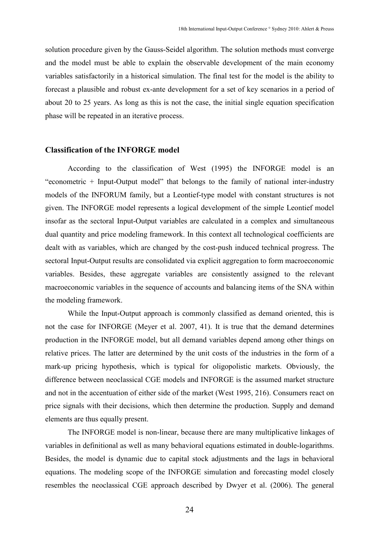solution procedure given by the Gauss-Seidel algorithm. The solution methods must converge and the model must be able to explain the observable development of the main economy variables satisfactorily in a historical simulation. The final test for the model is the ability to forecast a plausible and robust ex-ante development for a set of key scenarios in a period of about 20 to 25 years. As long as this is not the case, the initial single equation specification phase will be repeated in an iterative process.

## Classification of the IFORGE model

According to the classification of West (1995) the INFORGE model is an "econometric + Input-Output model" that belongs to the family of national inter-industry models of the INFORUM family, but a Leontief-type model with constant structures is not given. The INFORGE model represents a logical development of the simple Leontief model insofar as the sectoral Input-Output variables are calculated in a complex and simultaneous dual quantity and price modeling framework. In this context all technological coefficients are dealt with as variables, which are changed by the cost-push induced technical progress. The sectoral Input-Output results are consolidated via explicit aggregation to form macroeconomic variables. Besides, these aggregate variables are consistently assigned to the relevant macroeconomic variables in the sequence of accounts and balancing items of the SNA within the modeling framework.

While the Input-Output approach is commonly classified as demand oriented, this is not the case for INFORGE (Meyer et al. 2007, 41). It is true that the demand determines production in the INFORGE model, but all demand variables depend among other things on relative prices. The latter are determined by the unit costs of the industries in the form of a mark-up pricing hypothesis, which is typical for oligopolistic markets. Obviously, the difference between neoclassical CGE models and INFORGE is the assumed market structure and not in the accentuation of either side of the market (West 1995, 216). Consumers react on price signals with their decisions, which then determine the production. Supply and demand elements are thus equally present.

The INFORGE model is non-linear, because there are many multiplicative linkages of variables in definitional as well as many behavioral equations estimated in double-logarithms. Besides, the model is dynamic due to capital stock adjustments and the lags in behavioral equations. The modeling scope of the INFORGE simulation and forecasting model closely resembles the neoclassical CGE approach described by Dwyer et al. (2006). The general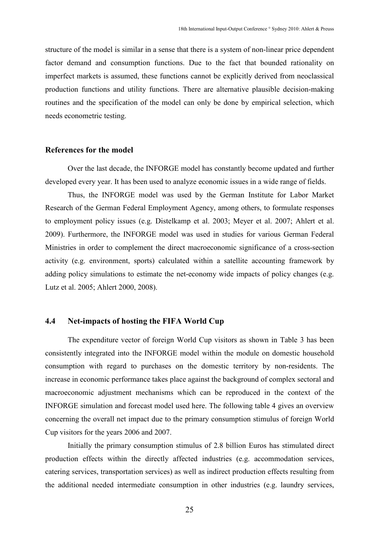structure of the model is similar in a sense that there is a system of non-linear price dependent factor demand and consumption functions. Due to the fact that bounded rationality on imperfect markets is assumed, these functions cannot be explicitly derived from neoclassical production functions and utility functions. There are alternative plausible decision-making routines and the specification of the model can only be done by empirical selection, which needs econometric testing.

#### References for the model

Over the last decade, the INFORGE model has constantly become updated and further developed every year. It has been used to analyze economic issues in a wide range of fields.

Thus, the INFORGE model was used by the German Institute for Labor Market Research of the German Federal Employment Agency, among others, to formulate responses to employment policy issues (e.g. Distelkamp et al. 2003; Meyer et al. 2007; Ahlert et al. 2009). Furthermore, the INFORGE model was used in studies for various German Federal Ministries in order to complement the direct macroeconomic significance of a cross-section activity (e.g. environment, sports) calculated within a satellite accounting framework by adding policy simulations to estimate the net-economy wide impacts of policy changes (e.g. Lutz et al. 2005; Ahlert 2000, 2008).

## 4.4 Net-impacts of hosting the FIFA World Cup

The expenditure vector of foreign World Cup visitors as shown in Table 3 has been consistently integrated into the INFORGE model within the module on domestic household consumption with regard to purchases on the domestic territory by non-residents. The increase in economic performance takes place against the background of complex sectoral and macroeconomic adjustment mechanisms which can be reproduced in the context of the INFORGE simulation and forecast model used here. The following table 4 gives an overview concerning the overall net impact due to the primary consumption stimulus of foreign World Cup visitors for the years 2006 and 2007.

Initially the primary consumption stimulus of 2.8 billion Euros has stimulated direct production effects within the directly affected industries (e.g. accommodation services, catering services, transportation services) as well as indirect production effects resulting from the additional needed intermediate consumption in other industries (e.g. laundry services,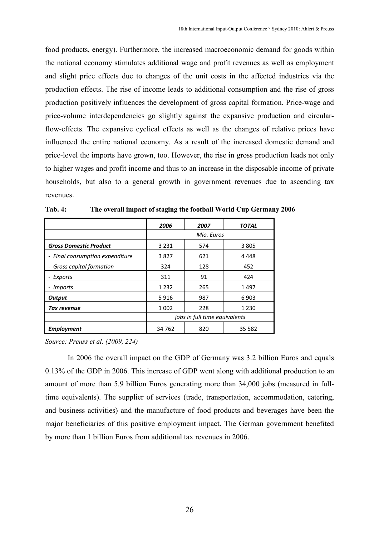food products, energy). Furthermore, the increased macroeconomic demand for goods within the national economy stimulates additional wage and profit revenues as well as employment and slight price effects due to changes of the unit costs in the affected industries via the production effects. The rise of income leads to additional consumption and the rise of gross production positively influences the development of gross capital formation. Price-wage and price-volume interdependencies go slightly against the expansive production and circularflow-effects. The expansive cyclical effects as well as the changes of relative prices have influenced the entire national economy. As a result of the increased domestic demand and price-level the imports have grown, too. However, the rise in gross production leads not only to higher wages and profit income and thus to an increase in the disposable income of private households, but also to a general growth in government revenues due to ascending tax revenues.

|                                 | 2006                          | 2007       | <b>TOTAL</b> |  |
|---------------------------------|-------------------------------|------------|--------------|--|
|                                 |                               | Mio. Euros |              |  |
| <b>Gross Domestic Product</b>   | 3 2 3 1                       | 574        | 3805         |  |
| - Final consumption expenditure | 3827                          | 621        | 4448         |  |
| Gross capital formation         | 324                           | 128        | 452          |  |
| Exports                         | 311                           | 91         | 424          |  |
| <i>Imports</i>                  | 1 2 3 2                       | 265        | 1497         |  |
| <b>Output</b>                   | 5916                          | 987        | 6903         |  |
| Tax revenue                     | 1 0 0 2                       | 228        | 1 2 3 0      |  |
|                                 | jobs in full time equivalents |            |              |  |
| <b>Employment</b>               | 34 762                        | 820        | 35 582       |  |

Tab. 4: The overall impact of staging the football World Cup Germany 2006

Source: Preuss et al. (2009, 224)

In 2006 the overall impact on the GDP of Germany was 3.2 billion Euros and equals 0.13% of the GDP in 2006. This increase of GDP went along with additional production to an amount of more than 5.9 billion Euros generating more than 34,000 jobs (measured in fulltime equivalents). The supplier of services (trade, transportation, accommodation, catering, and business activities) and the manufacture of food products and beverages have been the major beneficiaries of this positive employment impact. The German government benefited by more than 1 billion Euros from additional tax revenues in 2006.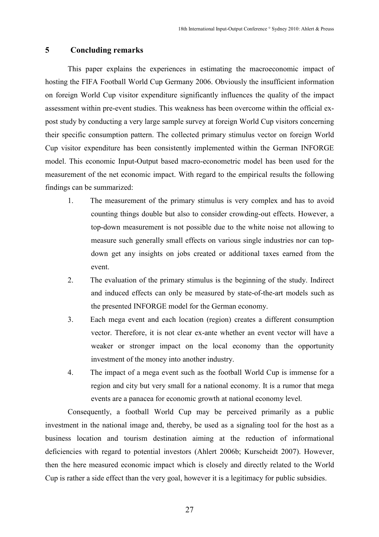# 5 Concluding remarks

This paper explains the experiences in estimating the macroeconomic impact of hosting the FIFA Football World Cup Germany 2006. Obviously the insufficient information on foreign World Cup visitor expenditure significantly influences the quality of the impact assessment within pre-event studies. This weakness has been overcome within the official expost study by conducting a very large sample survey at foreign World Cup visitors concerning their specific consumption pattern. The collected primary stimulus vector on foreign World Cup visitor expenditure has been consistently implemented within the German INFORGE model. This economic Input-Output based macro-econometric model has been used for the measurement of the net economic impact. With regard to the empirical results the following findings can be summarized:

- 1. The measurement of the primary stimulus is very complex and has to avoid counting things double but also to consider crowding-out effects. However, a top-down measurement is not possible due to the white noise not allowing to measure such generally small effects on various single industries nor can topdown get any insights on jobs created or additional taxes earned from the event.
- 2. The evaluation of the primary stimulus is the beginning of the study. Indirect and induced effects can only be measured by state-of-the-art models such as the presented INFORGE model for the German economy.
- 3. Each mega event and each location (region) creates a different consumption vector. Therefore, it is not clear ex-ante whether an event vector will have a weaker or stronger impact on the local economy than the opportunity investment of the money into another industry.
- 4. The impact of a mega event such as the football World Cup is immense for a region and city but very small for a national economy. It is a rumor that mega events are a panacea for economic growth at national economy level.

Consequently, a football World Cup may be perceived primarily as a public investment in the national image and, thereby, be used as a signaling tool for the host as a business location and tourism destination aiming at the reduction of informational deficiencies with regard to potential investors (Ahlert 2006b; Kurscheidt 2007). However, then the here measured economic impact which is closely and directly related to the World Cup is rather a side effect than the very goal, however it is a legitimacy for public subsidies.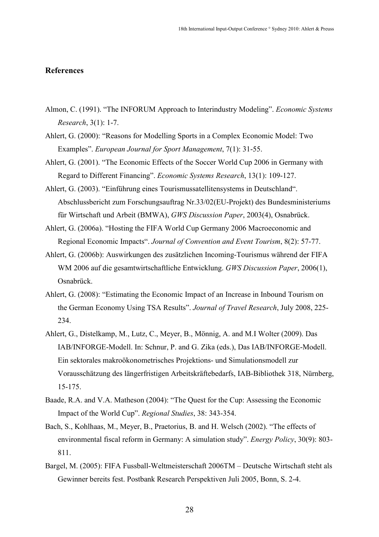#### References

- Almon, C. (1991). "The INFORUM Approach to Interindustry Modeling". Economic Systems Research, 3(1): 1-7.
- Ahlert, G. (2000): "Reasons for Modelling Sports in a Complex Economic Model: Two Examples". European Journal for Sport Management, 7(1): 31-55.
- Ahlert, G. (2001). "The Economic Effects of the Soccer World Cup 2006 in Germany with Regard to Different Financing". Economic Systems Research, 13(1): 109-127.
- Ahlert, G. (2003). "Einführung eines Tourismussatellitensystems in Deutschland". Abschlussbericht zum Forschungsauftrag Nr.33/02(EU-Projekt) des Bundesministeriums für Wirtschaft und Arbeit (BMWA), GWS Discussion Paper, 2003(4), Osnabrück.
- Ahlert, G. (2006a). "Hosting the FIFA World Cup Germany 2006 Macroeconomic and Regional Economic Impacts". Journal of Convention and Event Tourism, 8(2): 57-77.
- Ahlert, G. (2006b): Auswirkungen des zusätzlichen Incoming-Tourismus während der FIFA WM 2006 auf die gesamtwirtschaftliche Entwicklung. GWS Discussion Paper, 2006(1), Osnabrück.
- Ahlert, G. (2008): "Estimating the Economic Impact of an Increase in Inbound Tourism on the German Economy Using TSA Results". Journal of Travel Research, July 2008, 225- 234.
- Ahlert, G., Distelkamp, M., Lutz, C., Meyer, B., Mönnig, A. and M.I Wolter (2009). Das IAB/INFORGE-Modell. In: Schnur, P. and G. Zika (eds.), Das IAB/INFORGE-Modell. Ein sektorales makroökonometrisches Projektions- und Simulationsmodell zur Vorausschätzung des längerfristigen Arbeitskräftebedarfs, IAB-Bibliothek 318, Nürnberg, 15-175.
- Baade, R.A. and V.A. Matheson (2004): "The Quest for the Cup: Assessing the Economic Impact of the World Cup". Regional Studies, 38: 343-354.
- Bach, S., Kohlhaas, M., Meyer, B., Praetorius, B. and H. Welsch (2002). "The effects of environmental fiscal reform in Germany: A simulation study". Energy Policy, 30(9): 803- 811.
- Bargel, M. (2005): FIFA Fussball-Weltmeisterschaft 2006TM Deutsche Wirtschaft steht als Gewinner bereits fest. Postbank Research Perspektiven Juli 2005, Bonn, S. 2-4.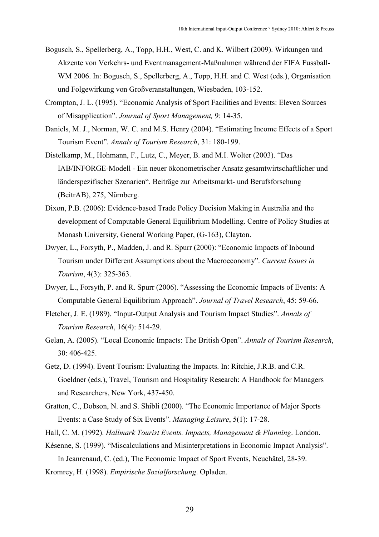- Bogusch, S., Spellerberg, A., Topp, H.H., West, C. and K. Wilbert (2009). Wirkungen und Akzente von Verkehrs- und Eventmanagement-Maßnahmen während der FIFA Fussball-WM 2006. In: Bogusch, S., Spellerberg, A., Topp, H.H. and C. West (eds.), Organisation und Folgewirkung von Großveranstaltungen, Wiesbaden, 103-152.
- Crompton, J. L. (1995). "Economic Analysis of Sport Facilities and Events: Eleven Sources of Misapplication". Journal of Sport Management, 9: 14-35.
- Daniels, M. J., Norman, W. C. and M.S. Henry (2004). "Estimating Income Effects of a Sport Tourism Event". Annals of Tourism Research, 31: 180-199.
- Distelkamp, M., Hohmann, F., Lutz, C., Meyer, B. and M.I. Wolter (2003). "Das IAB/INFORGE-Modell - Ein neuer ökonometrischer Ansatz gesamtwirtschaftlicher und länderspezifischer Szenarien". Beiträge zur Arbeitsmarkt- und Berufsforschung (BeitrAB), 275, Nürnberg.
- Dixon, P.B. (2006): Evidence-based Trade Policy Decision Making in Australia and the development of Computable General Equilibrium Modelling. Centre of Policy Studies at Monash University, General Working Paper, (G-163), Clayton.
- Dwyer, L., Forsyth, P., Madden, J. and R. Spurr (2000): "Economic Impacts of Inbound Tourism under Different Assumptions about the Macroeconomy". Current Issues in Tourism, 4(3): 325-363.
- Dwyer, L., Forsyth, P. and R. Spurr (2006). "Assessing the Economic Impacts of Events: A Computable General Equilibrium Approach". Journal of Travel Research, 45: 59-66.
- Fletcher, J. E. (1989). "Input-Output Analysis and Tourism Impact Studies". Annals of Tourism Research, 16(4): 514-29.
- Gelan, A. (2005). "Local Economic Impacts: The British Open". Annals of Tourism Research, 30: 406-425.
- Getz, D. (1994). Event Tourism: Evaluating the Impacts. In: Ritchie, J.R.B. and C.R. Goeldner (eds.), Travel, Tourism and Hospitality Research: A Handbook for Managers and Researchers, New York, 437-450.
- Gratton, C., Dobson, N. and S. Shibli (2000). "The Economic Importance of Major Sports Events: a Case Study of Six Events". Managing Leisure, 5(1): 17-28.
- Hall, C. M. (1992). Hallmark Tourist Events. Impacts, Management & Planning. London.
- Késenne, S. (1999). "Miscalculations and Misinterpretations in Economic Impact Analysis". In Jeanrenaud, C. (ed.), The Economic Impact of Sport Events, Neuchâtel, 28-39.
- Kromrey, H. (1998). Empirische Sozialforschung. Opladen.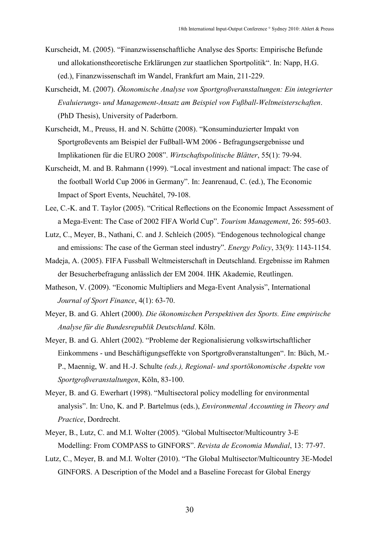- Kurscheidt, M. (2005). "Finanzwissenschaftliche Analyse des Sports: Empirische Befunde und allokationstheoretische Erklärungen zur staatlichen Sportpolitik". In: Napp, H.G. (ed.), Finanzwissenschaft im Wandel, Frankfurt am Main, 211-229.
- Kurscheidt, M. (2007). Ökonomische Analyse von Sportgroßveranstaltungen: Ein integrierter Evaluierungs- und Management-Ansatz am Beispiel von Fußball-Weltmeisterschaften. (PhD Thesis), University of Paderborn.
- Kurscheidt, M., Preuss, H. and N. Schütte (2008). "Konsuminduzierter Impakt von Sportgroßevents am Beispiel der Fußball-WM 2006 - Befragungsergebnisse und Implikationen für die EURO 2008". Wirtschaftspolitische Blätter, 55(1): 79-94.
- Kurscheidt, M. and B. Rahmann (1999). "Local investment and national impact: The case of the football World Cup 2006 in Germany". In: Jeanrenaud, C. (ed.), The Economic Impact of Sport Events, Neuchâtel, 79-108.
- Lee, C.-K. and T. Taylor (2005). "Critical Reflections on the Economic Impact Assessment of a Mega-Event: The Case of 2002 FIFA World Cup". Tourism Management, 26: 595-603.
- Lutz, C., Meyer, B., Nathani, C. and J. Schleich (2005). "Endogenous technological change and emissions: The case of the German steel industry". Energy Policy, 33(9): 1143-1154.
- Madeja, A. (2005). FIFA Fussball Weltmeisterschaft in Deutschland. Ergebnisse im Rahmen der Besucherbefragung anlässlich der EM 2004. IHK Akademie, Reutlingen.
- Matheson, V. (2009). "Economic Multipliers and Mega-Event Analysis", International Journal of Sport Finance, 4(1): 63-70.
- Meyer, B. and G. Ahlert (2000). Die ökonomischen Perspektiven des Sports. Eine empirische Analyse für die Bundesrepublik Deutschland. Köln.
- Meyer, B. and G. Ahlert (2002). "Probleme der Regionalisierung volkswirtschaftlicher Einkommens - und Beschäftigungseffekte von Sportgroßveranstaltungen". In: Büch, M.- P., Maennig, W. and H.-J. Schulte (eds.), Regional- und sportökonomische Aspekte von Sportgroßveranstaltungen, Köln, 83-100.
- Meyer, B. and G. Ewerhart (1998). "Multisectoral policy modelling for environmental analysis". In: Uno, K. and P. Bartelmus (eds.), Environmental Accounting in Theory and Practice, Dordrecht.
- Meyer, B., Lutz, C. and M.I. Wolter (2005). "Global Multisector/Multicountry 3-E Modelling: From COMPASS to GINFORS". Revista de Economia Mundial, 13: 77-97.
- Lutz, C., Meyer, B. and M.I. Wolter (2010). "The Global Multisector/Multicountry 3E-Model GINFORS. A Description of the Model and a Baseline Forecast for Global Energy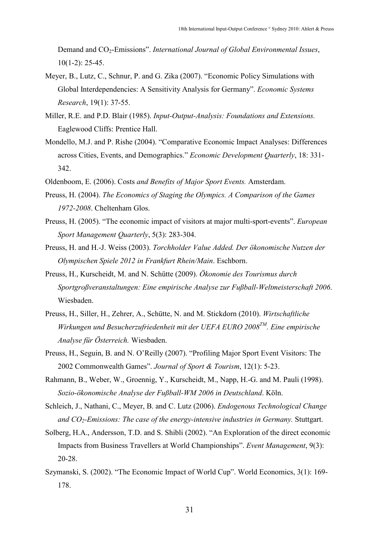Demand and CO<sub>2</sub>-Emissions". International Journal of Global Environmental Issues,  $10(1-2)$ : 25-45.

- Meyer, B., Lutz, C., Schnur, P. and G. Zika (2007). "Economic Policy Simulations with Global Interdependencies: A Sensitivity Analysis for Germany". Economic Systems Research, 19(1): 37-55.
- Miller, R.E. and P.D. Blair (1985). Input-Output-Analysis: Foundations and Extensions. Eaglewood Cliffs: Prentice Hall.
- Mondello, M.J. and P. Rishe (2004). "Comparative Economic Impact Analyses: Differences across Cities, Events, and Demographics." Economic Development Quarterly, 18: 331- 342.
- Oldenboom, E. (2006). Costs and Benefits of Major Sport Events. Amsterdam.
- Preuss, H. (2004). The Economics of Staging the Olympics. A Comparison of the Games 1972-2008. Cheltenham Glos.
- Preuss, H. (2005). "The economic impact of visitors at major multi-sport-events". European Sport Management Quarterly, 5(3): 283-304.
- Preuss, H. and H.-J. Weiss (2003). Torchholder Value Added. Der ökonomische Nutzen der Olympischen Spiele 2012 in Frankfurt Rhein/Main. Eschborn.
- Preuss, H., Kurscheidt, M. and N. Schütte (2009). Ökonomie des Tourismus durch Sportgroßveranstaltungen: Eine empirische Analyse zur Fußball-Weltmeisterschaft 2006. Wiesbaden.
- Preuss, H., Siller, H., Zehrer, A., Schütte, N. and M. Stickdorn (2010). Wirtschaftliche Wirkungen und Besucherzufriedenheit mit der UEFA EURO 2008 $^{TM}$ . Eine empirische Analyse für Österreich. Wiesbaden.
- Preuss, H., Seguin, B. and N. O'Reilly (2007). "Profiling Major Sport Event Visitors: The 2002 Commonwealth Games". Journal of Sport & Tourism, 12(1): 5-23.
- Rahmann, B., Weber, W., Groennig, Y., Kurscheidt, M., Napp, H.-G. and M. Pauli (1998). Sozio-ökonomische Analyse der Fußball-WM 2006 in Deutschland. Köln.
- Schleich, J., Nathani, C., Meyer, B. and C. Lutz (2006). Endogenous Technological Change and  $CO<sub>2</sub>$ -Emissions: The case of the energy-intensive industries in Germany. Stuttgart.
- Solberg, H.A., Andersson, T.D. and S. Shibli (2002). "An Exploration of the direct economic Impacts from Business Travellers at World Championships". Event Management, 9(3): 20-28.
- Szymanski, S. (2002). "The Economic Impact of World Cup". World Economics, 3(1): 169- 178.